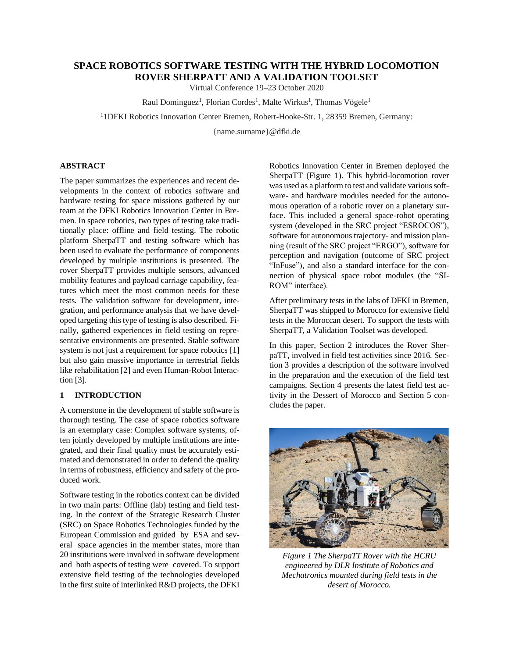# **SPACE ROBOTICS SOFTWARE TESTING WITH THE HYBRID LOCOMOTION ROVER SHERPATT AND A VALIDATION TOOLSET**

Virtual Conference 19–23 October 2020

Raul Dominguez<sup>1</sup>, Florian Cordes<sup>1</sup>, Malte Wirkus<sup>1</sup>, Thomas Vögele<sup>1</sup>

<sup>1</sup>1DFKI Robotics Innovation Center Bremen, Robert-Hooke-Str. 1, 28359 Bremen, Germany:

{name.surname}@dfki.de

## **ABSTRACT**

The paper summarizes the experiences and recent developments in the context of robotics software and hardware testing for space missions gathered by our team at the DFKI Robotics Innovation Center in Bremen. In space robotics, two types of testing take traditionally place: offline and field testing. The robotic platform SherpaTT and testing software which has been used to evaluate the performance of components developed by multiple institutions is presented. The rover SherpaTT provides multiple sensors, advanced mobility features and payload carriage capability, features which meet the most common needs for these tests. The validation software for development, integration, and performance analysis that we have developed targeting this type of testing is also described. Finally, gathered experiences in field testing on representative environments are presented. Stable software system is not just a requirement for space robotics [1] but also gain massive importance in terrestrial fields like rehabilitation [2] and even Human-Robot Interaction [3].

## **1 INTRODUCTION**

A cornerstone in the development of stable software is thorough testing. The case of space robotics software is an exemplary case: Complex software systems, often jointly developed by multiple institutions are integrated, and their final quality must be accurately estimated and demonstrated in order to defend the quality in terms of robustness, efficiency and safety of the produced work.

Software testing in the robotics context can be divided in two main parts: Offline (lab) testing and field testing. In the context of the Strategic Research Cluster (SRC) on Space Robotics Technologies funded by the European Commission and guided by ESA and several space agencies in the member states, more than 20 institutions were involved in software development and both aspects of testing were covered. To support extensive field testing of the technologies developed in the first suite of interlinked R&D projects, the DFKI

Robotics Innovation Center in Bremen deployed the SherpaTT (Figure 1). This hybrid-locomotion rover was used as a platform to test and validate various software- and hardware modules needed for the autonomous operation of a robotic rover on a planetary surface. This included a general space-robot operating system (developed in the SRC project "ESROCOS"), software for autonomous trajectory- and mission planning (result of the SRC project "ERGO"), software for perception and navigation (outcome of SRC project "InFuse"), and also a standard interface for the connection of physical space robot modules (the "SI-ROM" interface).

After preliminary tests in the labs of DFKI in Bremen, SherpaTT was shipped to Morocco for extensive field tests in the Moroccan desert. To support the tests with SherpaTT, a Validation Toolset was developed.

In this paper, Section 2 introduces the Rover SherpaTT, involved in field test activities since 2016. Section 3 provides a description of the software involved in the preparation and the execution of the field test campaigns. Section 4 presents the latest field test activity in the Dessert of Morocco and Section 5 concludes the paper.



*Figure 1 The SherpaTT Rover with the HCRU engineered by DLR Institute of Robotics and Mechatronics mounted during field tests in the desert of Morocco.*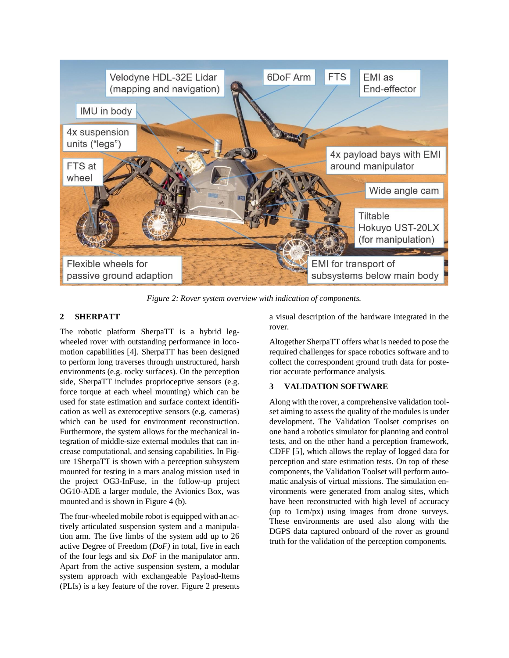

*Figure 2: Rover system overview with indication of components.*

## <span id="page-1-0"></span>**2 SHERPATT**

The robotic platform SherpaTT is a hybrid legwheeled rover with outstanding performance in locomotion capabilities [4]. SherpaTT has been designed to perform long traverses through unstructured, harsh environments (e.g. rocky surfaces). On the perception side, SherpaTT includes proprioceptive sensors (e.g. force torque at each wheel mounting) which can be used for state estimation and surface context identification as well as exteroceptive sensors (e.g. cameras) which can be used for environment reconstruction. Furthermore, the system allows for the mechanical integration of middle-size external modules that can increase computational, and sensing capabilities. In Figure 1SherpaTT is shown with a perception subsystem mounted for testing in a mars analog mission used in the project OG3-InFuse, in the follow-up project OG10-ADE a larger module, the Avionics Box, was mounted and is shown in Figure 4 (b).

The four-wheeled mobile robot is equipped with an actively articulated suspension system and a manipulation arm. The five limbs of the system add up to 26 active Degree of Freedom (*DoF)* in total, five in each of the four legs and six *DoF* in the manipulator arm. Apart from the active suspension system, a modular system approach with exchangeable Payload-Items (PLIs) is a key feature of the rover. [Figure](#page-1-0) 2 presents a visual description of the hardware integrated in the rover.

Altogether SherpaTT offers what is needed to pose the required challenges for space robotics software and to collect the correspondent ground truth data for posterior accurate performance analysis.

## **3 VALIDATION SOFTWARE**

Along with the rover, a comprehensive validation toolset aiming to assess the quality of the modules is under development. The Validation Toolset comprises on one hand a robotics simulator for planning and control tests, and on the other hand a perception framework, CDFF [5], which allows the replay of logged data for perception and state estimation tests. On top of these components, the Validation Toolset will perform automatic analysis of virtual missions. The simulation environments were generated from analog sites, which have been reconstructed with high level of accuracy (up to 1cm/px) using images from drone surveys. These environments are used also along with the DGPS data captured onboard of the rover as ground truth for the validation of the perception components.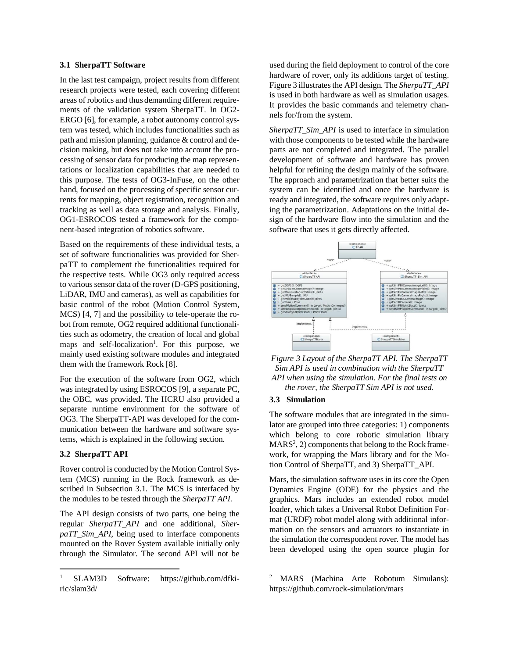### **3.1 SherpaTT Software**

In the last test campaign, project results from different research projects were tested, each covering different areas of robotics and thus demanding different requirements of the validation system SherpaTT. In OG2- ERGO [6], for example, a robot autonomy control system was tested, which includes functionalities such as path and mission planning, guidance & control and decision making, but does not take into account the processing of sensor data for producing the map representations or localization capabilities that are needed to this purpose. The tests of OG3-InFuse, on the other hand, focused on the processing of specific sensor currents for mapping, object registration, recognition and tracking as well as data storage and analysis. Finally, OG1-ESROCOS tested a framework for the component-based integration of robotics software.

Based on the requirements of these individual tests, a set of software functionalities was provided for SherpaTT to complement the functionalities required for the respective tests. While OG3 only required access to various sensor data of the rover (D-GPS positioning, LiDAR, IMU and cameras), as well as capabilities for basic control of the robot (Motion Control System, MCS) [4, 7] and the possibility to tele-operate the robot from remote, OG2 required additional functionalities such as odometry, the creation of local and global maps and self-localization<sup>1</sup>. For this purpose, we mainly used existing software modules and integrated them with the framework Rock [8].

For the execution of the software from OG2, which was integrated by using ESROCOS [9], a separate PC, the OBC, was provided. The HCRU also provided a separate runtime environment for the software of OG3. The SherpaTT-API was developed for the communication between the hardware and software systems, which is explained in the following section.

### **3.2 SherpaTT API**

Rover control is conducted by the Motion Control System (MCS) running in the Rock framework as described in Subsection 3.1. The MCS is interfaced by the modules to be tested through the *SherpaTT API*.

The API design consists of two parts, one being the regular *SherpaTT\_API* and one additional, *SherpaTT\_Sim\_API*, being used to interface components mounted on the Rover System available initially only through the Simulator. The second API will not be used during the field deployment to control of the core hardware of rover, only its additions target of testing. Figure 3 illustrates the API design. The *SherpaTT\_API* is used in both hardware as well as simulation usages. It provides the basic commands and telemetry channels for/from the system.

*SherpaTT\_Sim\_API* is used to interface in simulation with those components to be tested while the hardware parts are not completed and integrated. The parallel development of software and hardware has proven helpful for refining the design mainly of the software. The approach and parametrization that better suits the system can be identified and once the hardware is ready and integrated, the software requires only adapting the parametrization. Adaptations on the initial design of the hardware flow into the simulation and the software that uses it gets directly affected.



*Figure 3 Layout of the SherpaTT API. The SherpaTT Sim API is used in combination with the SherpaTT API when using the simulation. For the final tests on the rover, the SherpaTT Sim API is not used.*

### **3.3 Simulation**

The software modules that are integrated in the simulator are grouped into three categories: 1) components which belong to core robotic simulation library  $MARS<sup>2</sup>, 2$ ) components that belong to the Rock framework, for wrapping the Mars library and for the Motion Control of SherpaTT, and 3) SherpaTT\_API.

Mars, the simulation software uses in its core the Open Dynamics Engine (ODE) for the physics and the graphics. Mars includes an extended robot model loader, which takes a Universal Robot Definition Format (URDF) robot model along with additional information on the sensors and actuators to instantiate in the simulation the correspondent rover. The model has been developed using the open source plugin for

SLAM3D Software: https://github.com/dfkiric/slam3d/

<sup>2</sup> MARS (Machina Arte Robotum Simulans): https://github.com/rock-simulation/mars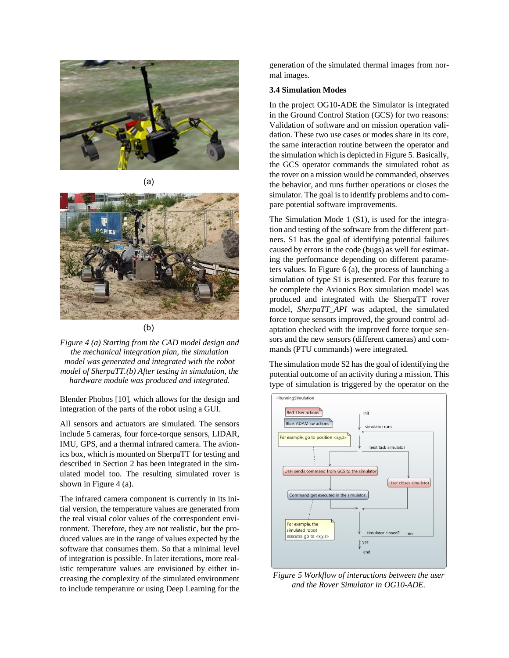

 $(a)$ 



 $(b)$ 

*Figure 4 (a) Starting from the CAD model design and the mechanical integration plan, the simulation model was generated and integrated with the robot model of SherpaTT.(b) After testing in simulation, the hardware module was produced and integrated.*

Blender Phobos [10], which allows for the design and integration of the parts of the robot using a GUI.

All sensors and actuators are simulated. The sensors include 5 cameras, four force-torque sensors, LIDAR, IMU, GPS, and a thermal infrared camera. The avionics box, which is mounted on SherpaTT for testing and described in Section 2 has been integrated in the simulated model too. The resulting simulated rover is shown in Figure 4 (a).

The infrared camera component is currently in its initial version, the temperature values are generated from the real visual color values of the correspondent environment. Therefore, they are not realistic, but the produced values are in the range of values expected by the software that consumes them. So that a minimal level of integration is possible. In later iterations, more realistic temperature values are envisioned by either increasing the complexity of the simulated environment to include temperature or using Deep Learning for the generation of the simulated thermal images from normal images.

#### **3.4 Simulation Modes**

In the project OG10-ADE the Simulator is integrated in the Ground Control Station (GCS) for two reasons: Validation of software and on mission operation validation. These two use cases or modes share in its core, the same interaction routine between the operator and the simulation which is depicted in Figure 5. Basically, the GCS operator commands the simulated robot as the rover on a mission would be commanded, observes the behavior, and runs further operations or closes the simulator. The goal is to identify problems and to compare potential software improvements.

The Simulation Mode 1 (S1), is used for the integration and testing of the software from the different partners. S1 has the goal of identifying potential failures caused by errors in the code (bugs) as well for estimating the performance depending on different parameters values. In Figure 6 (a), the process of launching a simulation of type S1 is presented. For this feature to be complete the Avionics Box simulation model was produced and integrated with the SherpaTT rover model, *SherpaTT\_API* was adapted, the simulated force torque sensors improved, the ground control adaptation checked with the improved force torque sensors and the new sensors (different cameras) and commands (PTU commands) were integrated.

The simulation mode S2 has the goal of identifying the potential outcome of an activity during a mission. This type of simulation is triggered by the operator on the



*Figure 5 Workflow of interactions between the user and the Rover Simulator in OG10-ADE.*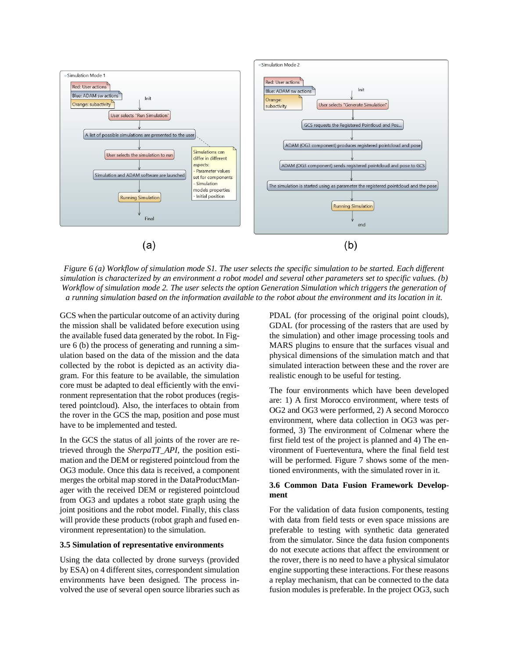

*Figure 6 (a) Workflow of simulation mode S1. The user selects the specific simulation to be started. Each different simulation is characterized by an environment a robot model and several other parameters set to specific values. (b) Workflow of simulation mode 2. The user selects the option Generation Simulation which triggers the generation of a running simulation based on the information available to the robot about the environment and its location in it.*

GCS when the particular outcome of an activity during the mission shall be validated before execution using the available fused data generated by the robot. In Figure 6 (b) the process of generating and running a simulation based on the data of the mission and the data collected by the robot is depicted as an activity diagram. For this feature to be available, the simulation core must be adapted to deal efficiently with the environment representation that the robot produces (registered pointcloud). Also, the interfaces to obtain from the rover in the GCS the map, position and pose must have to be implemented and tested.

In the GCS the status of all joints of the rover are retrieved through the *SherpaTT\_API*, the position estimation and the DEM or registered pointcloud from the OG3 module. Once this data is received, a component merges the orbital map stored in the DataProductManager with the received DEM or registered pointcloud from OG3 and updates a robot state graph using the joint positions and the robot model. Finally, this class will provide these products (robot graph and fused environment representation) to the simulation.

#### **3.5 Simulation of representative environments**

Using the data collected by drone surveys (provided by ESA) on 4 different sites, correspondent simulation environments have been designed. The process involved the use of several open source libraries such as

PDAL (for processing of the original point clouds), GDAL (for processing of the rasters that are used by the simulation) and other image processing tools and MARS plugins to ensure that the surfaces visual and physical dimensions of the simulation match and that simulated interaction between these and the rover are realistic enough to be useful for testing.

The four environments which have been developed are: 1) A first Morocco environment, where tests of OG2 and OG3 were performed, 2) A second Morocco environment, where data collection in OG3 was performed, 3) The environment of Colmenar where the first field test of the project is planned and 4) The environment of Fuerteventura, where the final field test will be performed. Figure 7 shows some of the mentioned environments, with the simulated rover in it.

### **3.6 Common Data Fusion Framework Development**

For the validation of data fusion components, testing with data from field tests or even space missions are preferable to testing with synthetic data generated from the simulator. Since the data fusion components do not execute actions that affect the environment or the rover, there is no need to have a physical simulator engine supporting these interactions. For these reasons a replay mechanism, that can be connected to the data fusion modules is preferable. In the project OG3, such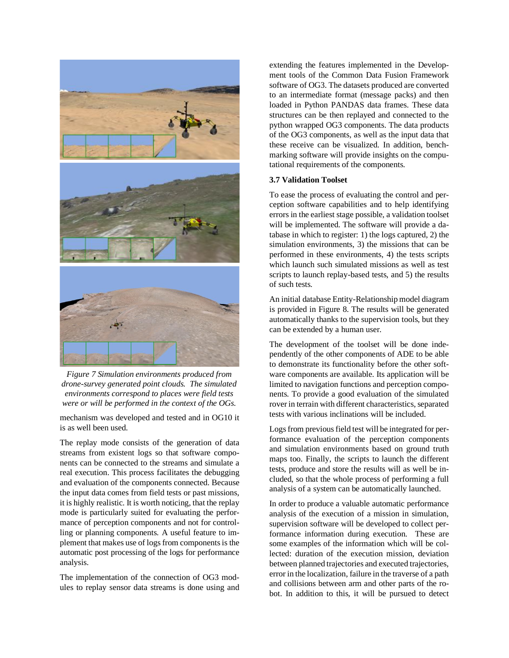

*Figure 7 Simulation environments produced from drone-survey generated point clouds. The simulated environments correspond to places were field tests were or will be performed in the context of the OGs.*

mechanism was developed and tested and in OG10 it is as well been used.

The replay mode consists of the generation of data streams from existent logs so that software components can be connected to the streams and simulate a real execution. This process facilitates the debugging and evaluation of the components connected. Because the input data comes from field tests or past missions, it is highly realistic. It is worth noticing, that the replay mode is particularly suited for evaluating the performance of perception components and not for controlling or planning components. A useful feature to implement that makes use of logs from components is the automatic post processing of the logs for performance analysis.

The implementation of the connection of OG3 modules to replay sensor data streams is done using and

extending the features implemented in the Development tools of the Common Data Fusion Framework software of OG3. The datasets produced are converted to an intermediate format (message packs) and then loaded in Python PANDAS data frames. These data structures can be then replayed and connected to the python wrapped OG3 components. The data products of the OG3 components, as well as the input data that these receive can be visualized. In addition, benchmarking software will provide insights on the computational requirements of the components.

### **3.7 Validation Toolset**

To ease the process of evaluating the control and perception software capabilities and to help identifying errors in the earliest stage possible, a validation toolset will be implemented. The software will provide a database in which to register: 1) the logs captured, 2) the simulation environments, 3) the missions that can be performed in these environments, 4) the tests scripts which launch such simulated missions as well as test scripts to launch replay-based tests, and 5) the results of such tests.

An initial database Entity-Relationship model diagram is provided in Figure 8. The results will be generated automatically thanks to the supervision tools, but they can be extended by a human user.

The development of the toolset will be done independently of the other components of ADE to be able to demonstrate its functionality before the other software components are available. Its application will be limited to navigation functions and perception components. To provide a good evaluation of the simulated rover in terrain with different characteristics, separated tests with various inclinations will be included.

Logs from previous field test will be integrated for performance evaluation of the perception components and simulation environments based on ground truth maps too. Finally, the scripts to launch the different tests, produce and store the results will as well be included, so that the whole process of performing a full analysis of a system can be automatically launched.

In order to produce a valuable automatic performance analysis of the execution of a mission in simulation, supervision software will be developed to collect performance information during execution. These are some examples of the information which will be collected: duration of the execution mission, deviation between planned trajectories and executed trajectories, error in the localization, failure in the traverse of a path and collisions between arm and other parts of the robot. In addition to this, it will be pursued to detect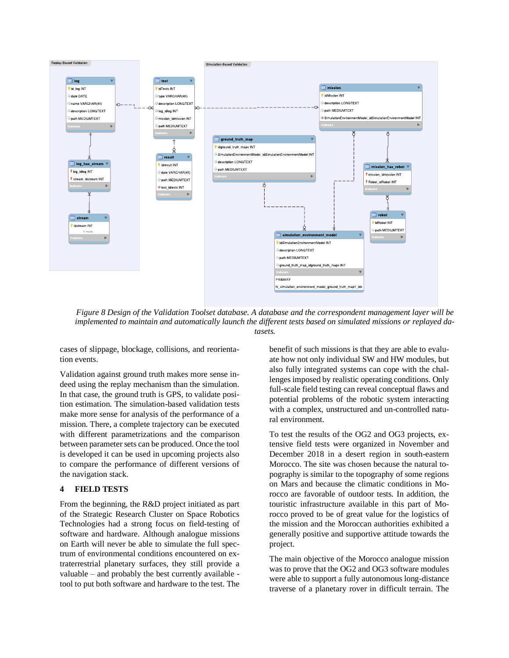

*Figure 8 Design of the Validation Toolset database. A database and the correspondent management layer will be implemented to maintain and automatically launch the different tests based on simulated missions or replayed datasets.*

cases of slippage, blockage, collisions, and reorientation events.

Validation against ground truth makes more sense indeed using the replay mechanism than the simulation. In that case, the ground truth is GPS, to validate position estimation. The simulation-based validation tests make more sense for analysis of the performance of a mission. There, a complete trajectory can be executed with different parametrizations and the comparison between parameter sets can be produced. Once the tool is developed it can be used in upcoming projects also to compare the performance of different versions of the navigation stack.

## **4 FIELD TESTS**

From the beginning, the R&D project initiated as part of the Strategic Research Cluster on Space Robotics Technologies had a strong focus on field-testing of software and hardware. Although analogue missions on Earth will never be able to simulate the full spectrum of environmental conditions encountered on extraterrestrial planetary surfaces, they still provide a valuable – and probably the best currently available tool to put both software and hardware to the test. The benefit of such missions is that they are able to evaluate how not only individual SW and HW modules, but also fully integrated systems can cope with the challenges imposed by realistic operating conditions. Only full-scale field testing can reveal conceptual flaws and potential problems of the robotic system interacting with a complex, unstructured and un-controlled natural environment.

To test the results of the OG2 and OG3 projects, extensive field tests were organized in November and December 2018 in a desert region in south-eastern Morocco. The site was chosen because the natural topography is similar to the topography of some regions on Mars and because the climatic conditions in Morocco are favorable of outdoor tests. In addition, the touristic infrastructure available in this part of Morocco proved to be of great value for the logistics of the mission and the Moroccan authorities exhibited a generally positive and supportive attitude towards the project.

The main objective of the Morocco analogue mission was to prove that the OG2 and OG3 software modules were able to support a fully autonomous long-distance traverse of a planetary rover in difficult terrain. The